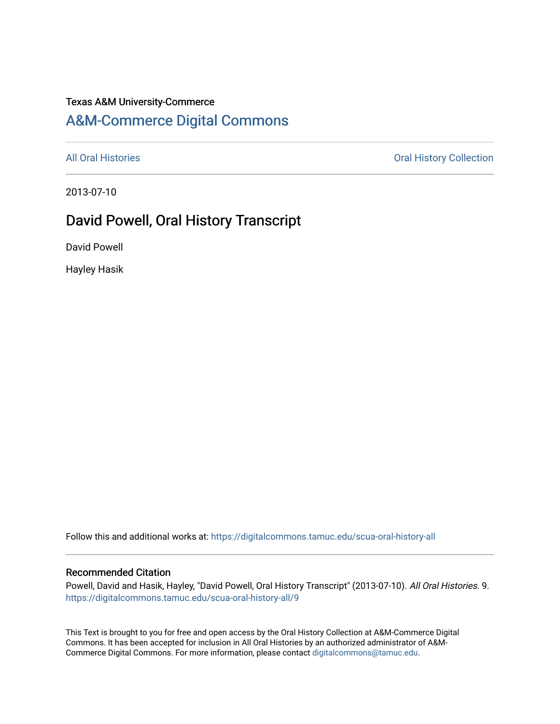## Texas A&M University-Commerce

# [A&M-Commerce Digital Commons](https://digitalcommons.tamuc.edu/)

[All Oral Histories](https://digitalcommons.tamuc.edu/scua-oral-history-all) **All Oral Histories** Oral History Collection

2013-07-10

# David Powell, Oral History Transcript

David Powell

Hayley Hasik

Follow this and additional works at: [https://digitalcommons.tamuc.edu/scua-oral-history-all](https://digitalcommons.tamuc.edu/scua-oral-history-all?utm_source=digitalcommons.tamuc.edu%2Fscua-oral-history-all%2F9&utm_medium=PDF&utm_campaign=PDFCoverPages)

#### Recommended Citation

Powell, David and Hasik, Hayley, "David Powell, Oral History Transcript" (2013-07-10). All Oral Histories. 9. [https://digitalcommons.tamuc.edu/scua-oral-history-all/9](https://digitalcommons.tamuc.edu/scua-oral-history-all/9?utm_source=digitalcommons.tamuc.edu%2Fscua-oral-history-all%2F9&utm_medium=PDF&utm_campaign=PDFCoverPages)

This Text is brought to you for free and open access by the Oral History Collection at A&M-Commerce Digital Commons. It has been accepted for inclusion in All Oral Histories by an authorized administrator of A&M-Commerce Digital Commons. For more information, please contact [digitalcommons@tamuc.edu](mailto:digitalcommons@tamuc.edu).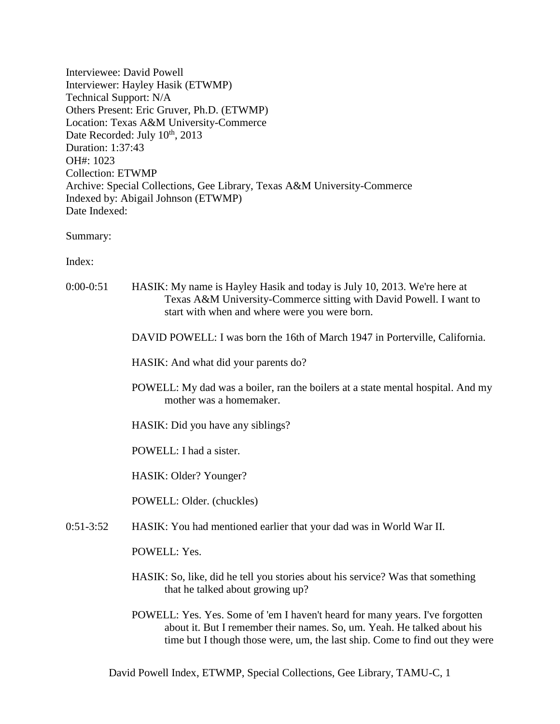Interviewee: David Powell Interviewer: Hayley Hasik (ETWMP) Technical Support: N/A Others Present: Eric Gruver, Ph.D. (ETWMP) Location: Texas A&M University-Commerce Date Recorded: July  $10^{th}$ , 2013 Duration: 1:37:43 OH#: 1023 Collection: ETWMP Archive: Special Collections, Gee Library, Texas A&M University-Commerce Indexed by: Abigail Johnson (ETWMP) Date Indexed:

Summary:

Index:

- 0:00-0:51 HASIK: My name is Hayley Hasik and today is July 10, 2013. We're here at Texas A&M University-Commerce sitting with David Powell. I want to start with when and where were you were born.
	- DAVID POWELL: I was born the 16th of March 1947 in Porterville, California.

HASIK: And what did your parents do?

- POWELL: My dad was a boiler, ran the boilers at a state mental hospital. And my mother was a homemaker.
- HASIK: Did you have any siblings?

POWELL: I had a sister.

HASIK: Older? Younger?

POWELL: Older. (chuckles)

0:51-3:52 HASIK: You had mentioned earlier that your dad was in World War II.

POWELL: Yes.

- HASIK: So, like, did he tell you stories about his service? Was that something that he talked about growing up?
- POWELL: Yes. Yes. Some of 'em I haven't heard for many years. I've forgotten about it. But I remember their names. So, um. Yeah. He talked about his time but I though those were, um, the last ship. Come to find out they were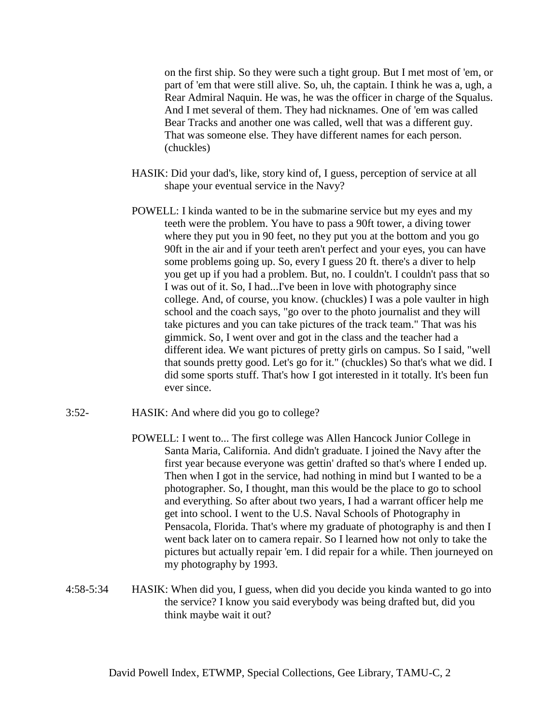on the first ship. So they were such a tight group. But I met most of 'em, or part of 'em that were still alive. So, uh, the captain. I think he was a, ugh, a Rear Admiral Naquin. He was, he was the officer in charge of the Squalus. And I met several of them. They had nicknames. One of 'em was called Bear Tracks and another one was called, well that was a different guy. That was someone else. They have different names for each person. (chuckles)

- HASIK: Did your dad's, like, story kind of, I guess, perception of service at all shape your eventual service in the Navy?
- POWELL: I kinda wanted to be in the submarine service but my eyes and my teeth were the problem. You have to pass a 90ft tower, a diving tower where they put you in 90 feet, no they put you at the bottom and you go 90ft in the air and if your teeth aren't perfect and your eyes, you can have some problems going up. So, every I guess 20 ft. there's a diver to help you get up if you had a problem. But, no. I couldn't. I couldn't pass that so I was out of it. So, I had...I've been in love with photography since college. And, of course, you know. (chuckles) I was a pole vaulter in high school and the coach says, "go over to the photo journalist and they will take pictures and you can take pictures of the track team." That was his gimmick. So, I went over and got in the class and the teacher had a different idea. We want pictures of pretty girls on campus. So I said, "well that sounds pretty good. Let's go for it." (chuckles) So that's what we did. I did some sports stuff. That's how I got interested in it totally. It's been fun ever since.
- 3:52- HASIK: And where did you go to college?
	- POWELL: I went to... The first college was Allen Hancock Junior College in Santa Maria, California. And didn't graduate. I joined the Navy after the first year because everyone was gettin' drafted so that's where I ended up. Then when I got in the service, had nothing in mind but I wanted to be a photographer. So, I thought, man this would be the place to go to school and everything. So after about two years, I had a warrant officer help me get into school. I went to the U.S. Naval Schools of Photography in Pensacola, Florida. That's where my graduate of photography is and then I went back later on to camera repair. So I learned how not only to take the pictures but actually repair 'em. I did repair for a while. Then journeyed on my photography by 1993.
- 4:58-5:34 HASIK: When did you, I guess, when did you decide you kinda wanted to go into the service? I know you said everybody was being drafted but, did you think maybe wait it out?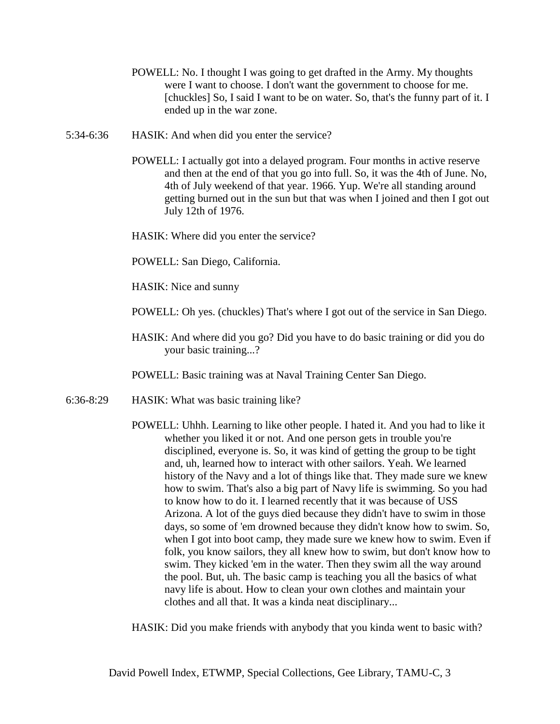- POWELL: No. I thought I was going to get drafted in the Army. My thoughts were I want to choose. I don't want the government to choose for me. [chuckles] So, I said I want to be on water. So, that's the funny part of it. I ended up in the war zone.
- 5:34-6:36 HASIK: And when did you enter the service?
	- POWELL: I actually got into a delayed program. Four months in active reserve and then at the end of that you go into full. So, it was the 4th of June. No, 4th of July weekend of that year. 1966. Yup. We're all standing around getting burned out in the sun but that was when I joined and then I got out July 12th of 1976.
	- HASIK: Where did you enter the service?
	- POWELL: San Diego, California.
	- HASIK: Nice and sunny
	- POWELL: Oh yes. (chuckles) That's where I got out of the service in San Diego.
	- HASIK: And where did you go? Did you have to do basic training or did you do your basic training...?
	- POWELL: Basic training was at Naval Training Center San Diego.
- 6:36-8:29 HASIK: What was basic training like?
	- POWELL: Uhhh. Learning to like other people. I hated it. And you had to like it whether you liked it or not. And one person gets in trouble you're disciplined, everyone is. So, it was kind of getting the group to be tight and, uh, learned how to interact with other sailors. Yeah. We learned history of the Navy and a lot of things like that. They made sure we knew how to swim. That's also a big part of Navy life is swimming. So you had to know how to do it. I learned recently that it was because of USS Arizona. A lot of the guys died because they didn't have to swim in those days, so some of 'em drowned because they didn't know how to swim. So, when I got into boot camp, they made sure we knew how to swim. Even if folk, you know sailors, they all knew how to swim, but don't know how to swim. They kicked 'em in the water. Then they swim all the way around the pool. But, uh. The basic camp is teaching you all the basics of what navy life is about. How to clean your own clothes and maintain your clothes and all that. It was a kinda neat disciplinary...

HASIK: Did you make friends with anybody that you kinda went to basic with?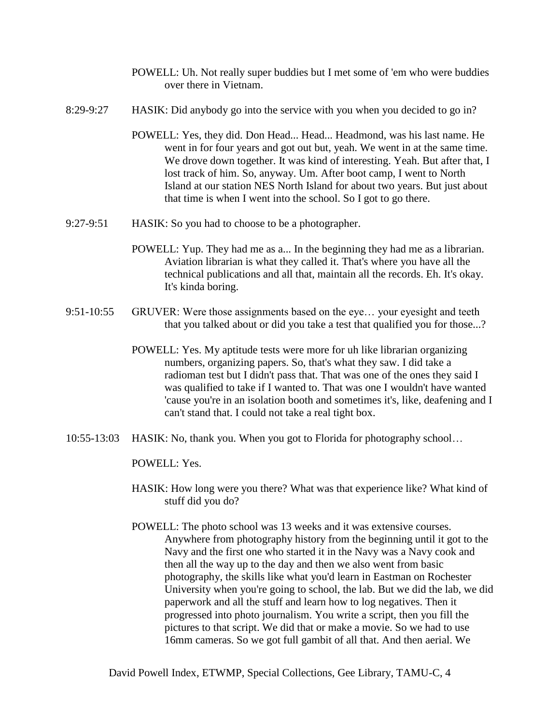- POWELL: Uh. Not really super buddies but I met some of 'em who were buddies over there in Vietnam.
- 8:29-9:27 HASIK: Did anybody go into the service with you when you decided to go in?
	- POWELL: Yes, they did. Don Head... Head... Headmond, was his last name. He went in for four years and got out but, yeah. We went in at the same time. We drove down together. It was kind of interesting. Yeah. But after that, I lost track of him. So, anyway. Um. After boot camp, I went to North Island at our station NES North Island for about two years. But just about that time is when I went into the school. So I got to go there.
- 9:27-9:51 HASIK: So you had to choose to be a photographer.
	- POWELL: Yup. They had me as a... In the beginning they had me as a librarian. Aviation librarian is what they called it. That's where you have all the technical publications and all that, maintain all the records. Eh. It's okay. It's kinda boring.
- 9:51-10:55 GRUVER: Were those assignments based on the eye… your eyesight and teeth that you talked about or did you take a test that qualified you for those...?
	- POWELL: Yes. My aptitude tests were more for uh like librarian organizing numbers, organizing papers. So, that's what they saw. I did take a radioman test but I didn't pass that. That was one of the ones they said I was qualified to take if I wanted to. That was one I wouldn't have wanted 'cause you're in an isolation booth and sometimes it's, like, deafening and I can't stand that. I could not take a real tight box.
- 10:55-13:03 HASIK: No, thank you. When you got to Florida for photography school…

POWELL: Yes.

- HASIK: How long were you there? What was that experience like? What kind of stuff did you do?
- POWELL: The photo school was 13 weeks and it was extensive courses. Anywhere from photography history from the beginning until it got to the Navy and the first one who started it in the Navy was a Navy cook and then all the way up to the day and then we also went from basic photography, the skills like what you'd learn in Eastman on Rochester University when you're going to school, the lab. But we did the lab, we did paperwork and all the stuff and learn how to log negatives. Then it progressed into photo journalism. You write a script, then you fill the pictures to that script. We did that or make a movie. So we had to use 16mm cameras. So we got full gambit of all that. And then aerial. We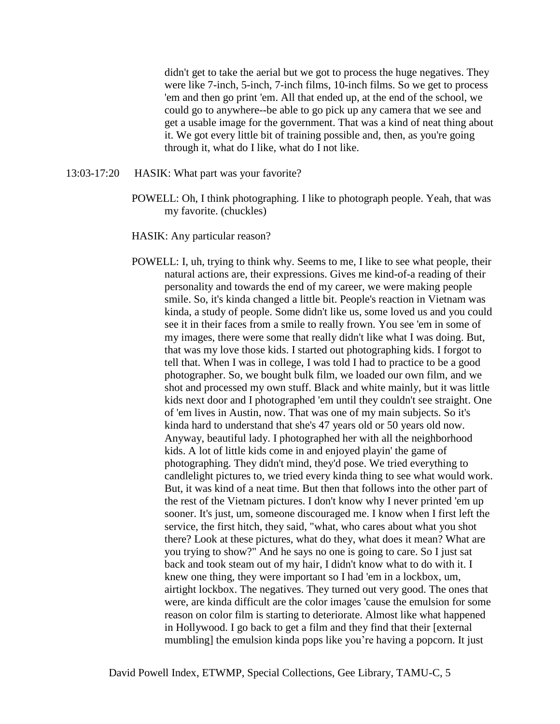didn't get to take the aerial but we got to process the huge negatives. They were like 7-inch, 5-inch, 7-inch films, 10-inch films. So we get to process 'em and then go print 'em. All that ended up, at the end of the school, we could go to anywhere--be able to go pick up any camera that we see and get a usable image for the government. That was a kind of neat thing about it. We got every little bit of training possible and, then, as you're going through it, what do I like, what do I not like.

- 13:03-17:20 HASIK: What part was your favorite?
	- POWELL: Oh, I think photographing. I like to photograph people. Yeah, that was my favorite. (chuckles)

HASIK: Any particular reason?

POWELL: I, uh, trying to think why. Seems to me, I like to see what people, their natural actions are, their expressions. Gives me kind-of-a reading of their personality and towards the end of my career, we were making people smile. So, it's kinda changed a little bit. People's reaction in Vietnam was kinda, a study of people. Some didn't like us, some loved us and you could see it in their faces from a smile to really frown. You see 'em in some of my images, there were some that really didn't like what I was doing. But, that was my love those kids. I started out photographing kids. I forgot to tell that. When I was in college, I was told I had to practice to be a good photographer. So, we bought bulk film, we loaded our own film, and we shot and processed my own stuff. Black and white mainly, but it was little kids next door and I photographed 'em until they couldn't see straight. One of 'em lives in Austin, now. That was one of my main subjects. So it's kinda hard to understand that she's 47 years old or 50 years old now. Anyway, beautiful lady. I photographed her with all the neighborhood kids. A lot of little kids come in and enjoyed playin' the game of photographing. They didn't mind, they'd pose. We tried everything to candlelight pictures to, we tried every kinda thing to see what would work. But, it was kind of a neat time. But then that follows into the other part of the rest of the Vietnam pictures. I don't know why I never printed 'em up sooner. It's just, um, someone discouraged me. I know when I first left the service, the first hitch, they said, "what, who cares about what you shot there? Look at these pictures, what do they, what does it mean? What are you trying to show?" And he says no one is going to care. So I just sat back and took steam out of my hair, I didn't know what to do with it. I knew one thing, they were important so I had 'em in a lockbox, um, airtight lockbox. The negatives. They turned out very good. The ones that were, are kinda difficult are the color images 'cause the emulsion for some reason on color film is starting to deteriorate. Almost like what happened in Hollywood. I go back to get a film and they find that their [external mumbling] the emulsion kinda pops like you're having a popcorn. It just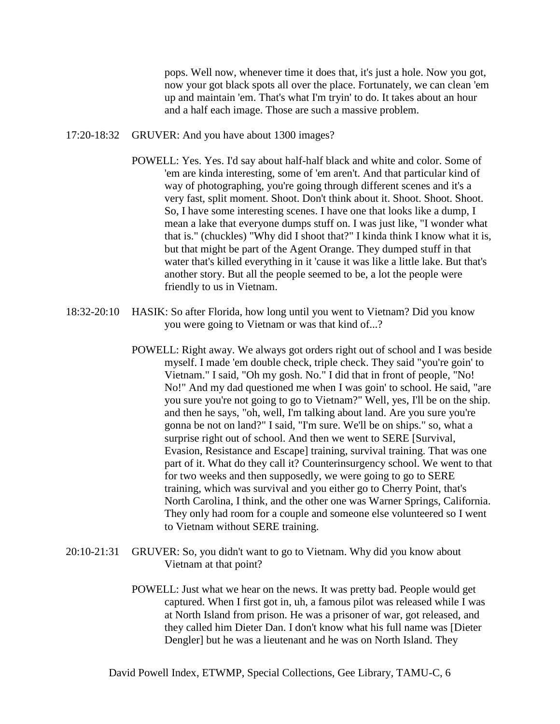pops. Well now, whenever time it does that, it's just a hole. Now you got, now your got black spots all over the place. Fortunately, we can clean 'em up and maintain 'em. That's what I'm tryin' to do. It takes about an hour and a half each image. Those are such a massive problem.

- 17:20-18:32 GRUVER: And you have about 1300 images?
	- POWELL: Yes. Yes. I'd say about half-half black and white and color. Some of 'em are kinda interesting, some of 'em aren't. And that particular kind of way of photographing, you're going through different scenes and it's a very fast, split moment. Shoot. Don't think about it. Shoot. Shoot. Shoot. So, I have some interesting scenes. I have one that looks like a dump, I mean a lake that everyone dumps stuff on. I was just like, "I wonder what that is." (chuckles) "Why did I shoot that?" I kinda think I know what it is, but that might be part of the Agent Orange. They dumped stuff in that water that's killed everything in it 'cause it was like a little lake. But that's another story. But all the people seemed to be, a lot the people were friendly to us in Vietnam.
- 18:32-20:10 HASIK: So after Florida, how long until you went to Vietnam? Did you know you were going to Vietnam or was that kind of...?
	- POWELL: Right away. We always got orders right out of school and I was beside myself. I made 'em double check, triple check. They said "you're goin' to Vietnam." I said, "Oh my gosh. No." I did that in front of people, "No! No!" And my dad questioned me when I was goin' to school. He said, "are you sure you're not going to go to Vietnam?" Well, yes, I'll be on the ship. and then he says, "oh, well, I'm talking about land. Are you sure you're gonna be not on land?" I said, "I'm sure. We'll be on ships." so, what a surprise right out of school. And then we went to SERE [Survival, Evasion, Resistance and Escape] training, survival training. That was one part of it. What do they call it? Counterinsurgency school. We went to that for two weeks and then supposedly, we were going to go to SERE training, which was survival and you either go to Cherry Point, that's North Carolina, I think, and the other one was Warner Springs, California. They only had room for a couple and someone else volunteered so I went to Vietnam without SERE training.
- 20:10-21:31 GRUVER: So, you didn't want to go to Vietnam. Why did you know about Vietnam at that point?
	- POWELL: Just what we hear on the news. It was pretty bad. People would get captured. When I first got in, uh, a famous pilot was released while I was at North Island from prison. He was a prisoner of war, got released, and they called him Dieter Dan. I don't know what his full name was [Dieter Dengler] but he was a lieutenant and he was on North Island. They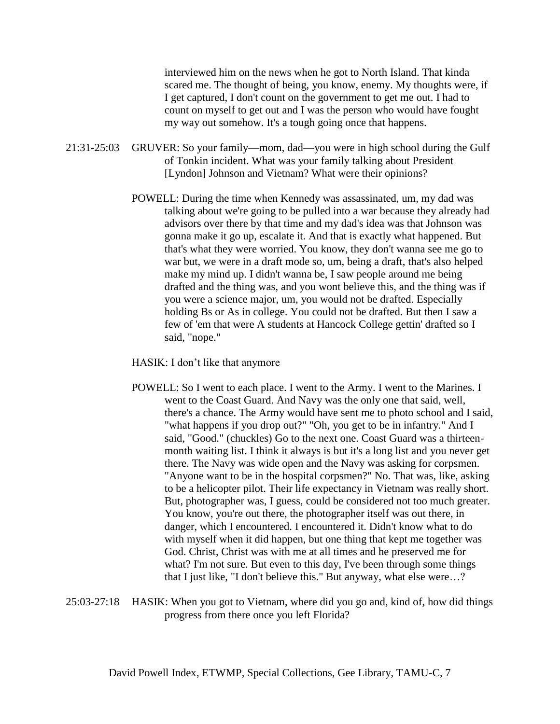interviewed him on the news when he got to North Island. That kinda scared me. The thought of being, you know, enemy. My thoughts were, if I get captured, I don't count on the government to get me out. I had to count on myself to get out and I was the person who would have fought my way out somehow. It's a tough going once that happens.

- 21:31-25:03 GRUVER: So your family—mom, dad—you were in high school during the Gulf of Tonkin incident. What was your family talking about President [Lyndon] Johnson and Vietnam? What were their opinions?
	- POWELL: During the time when Kennedy was assassinated, um, my dad was talking about we're going to be pulled into a war because they already had advisors over there by that time and my dad's idea was that Johnson was gonna make it go up, escalate it. And that is exactly what happened. But that's what they were worried. You know, they don't wanna see me go to war but, we were in a draft mode so, um, being a draft, that's also helped make my mind up. I didn't wanna be, I saw people around me being drafted and the thing was, and you wont believe this, and the thing was if you were a science major, um, you would not be drafted. Especially holding Bs or As in college. You could not be drafted. But then I saw a few of 'em that were A students at Hancock College gettin' drafted so I said, "nope."
	- HASIK: I don't like that anymore
	- POWELL: So I went to each place. I went to the Army. I went to the Marines. I went to the Coast Guard. And Navy was the only one that said, well, there's a chance. The Army would have sent me to photo school and I said, "what happens if you drop out?" "Oh, you get to be in infantry." And I said, "Good." (chuckles) Go to the next one. Coast Guard was a thirteenmonth waiting list. I think it always is but it's a long list and you never get there. The Navy was wide open and the Navy was asking for corpsmen. "Anyone want to be in the hospital corpsmen?" No. That was, like, asking to be a helicopter pilot. Their life expectancy in Vietnam was really short. But, photographer was, I guess, could be considered not too much greater. You know, you're out there, the photographer itself was out there, in danger, which I encountered. I encountered it. Didn't know what to do with myself when it did happen, but one thing that kept me together was God. Christ, Christ was with me at all times and he preserved me for what? I'm not sure. But even to this day, I've been through some things that I just like, "I don't believe this." But anyway, what else were…?
- 25:03-27:18 HASIK: When you got to Vietnam, where did you go and, kind of, how did things progress from there once you left Florida?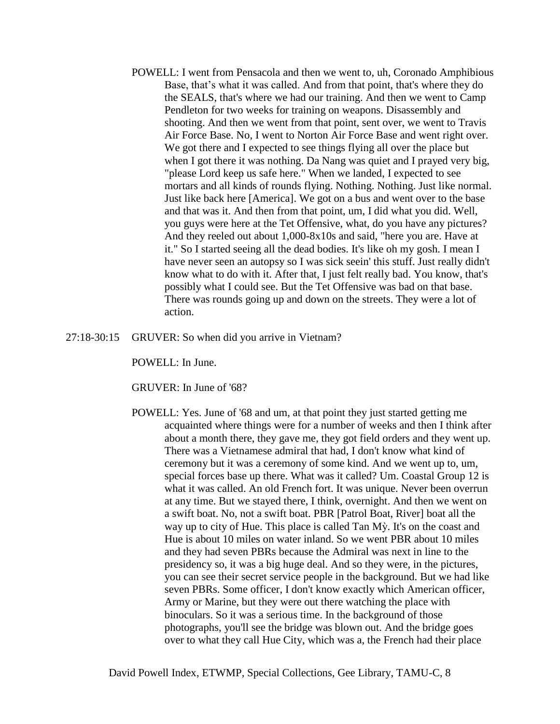- POWELL: I went from Pensacola and then we went to, uh, Coronado Amphibious Base, that's what it was called. And from that point, that's where they do the SEALS, that's where we had our training. And then we went to Camp Pendleton for two weeks for training on weapons. Disassembly and shooting. And then we went from that point, sent over, we went to Travis Air Force Base. No, I went to Norton Air Force Base and went right over. We got there and I expected to see things flying all over the place but when I got there it was nothing. Da Nang was quiet and I prayed very big, "please Lord keep us safe here." When we landed, I expected to see mortars and all kinds of rounds flying. Nothing. Nothing. Just like normal. Just like back here [America]. We got on a bus and went over to the base and that was it. And then from that point, um, I did what you did. Well, you guys were here at the Tet Offensive, what, do you have any pictures? And they reeled out about 1,000-8x10s and said, "here you are. Have at it." So I started seeing all the dead bodies. It's like oh my gosh. I mean I have never seen an autopsy so I was sick seein' this stuff. Just really didn't know what to do with it. After that, I just felt really bad. You know, that's possibly what I could see. But the Tet Offensive was bad on that base. There was rounds going up and down on the streets. They were a lot of action.
- 27:18-30:15 GRUVER: So when did you arrive in Vietnam?

POWELL: In June.

GRUVER: In June of '68?

POWELL: Yes. June of '68 and um, at that point they just started getting me acquainted where things were for a number of weeks and then I think after about a month there, they gave me, they got field orders and they went up. There was a Vietnamese admiral that had, I don't know what kind of ceremony but it was a ceremony of some kind. And we went up to, um, special forces base up there. What was it called? Um. Coastal Group 12 is what it was called. An old French fort. It was unique. Never been overrun at any time. But we stayed there, I think, overnight. And then we went on a swift boat. No, not a swift boat. PBR [Patrol Boat, River] boat all the way up to city of Hue. This place is called Tan Mỳ. It's on the coast and Hue is about 10 miles on water inland. So we went PBR about 10 miles and they had seven PBRs because the Admiral was next in line to the presidency so, it was a big huge deal. And so they were, in the pictures, you can see their secret service people in the background. But we had like seven PBRs. Some officer, I don't know exactly which American officer, Army or Marine, but they were out there watching the place with binoculars. So it was a serious time. In the background of those photographs, you'll see the bridge was blown out. And the bridge goes over to what they call Hue City, which was a, the French had their place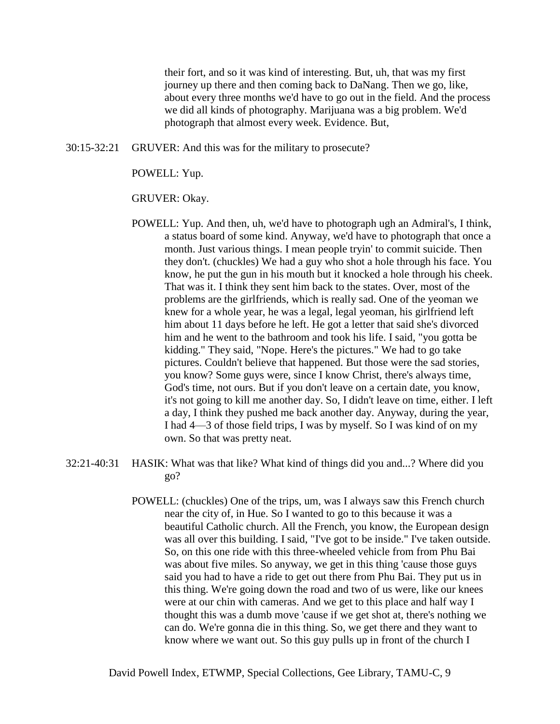their fort, and so it was kind of interesting. But, uh, that was my first journey up there and then coming back to DaNang. Then we go, like, about every three months we'd have to go out in the field. And the process we did all kinds of photography. Marijuana was a big problem. We'd photograph that almost every week. Evidence. But,

30:15-32:21 GRUVER: And this was for the military to prosecute?

POWELL: Yup.

### GRUVER: Okay.

- POWELL: Yup. And then, uh, we'd have to photograph ugh an Admiral's, I think, a status board of some kind. Anyway, we'd have to photograph that once a month. Just various things. I mean people tryin' to commit suicide. Then they don't. (chuckles) We had a guy who shot a hole through his face. You know, he put the gun in his mouth but it knocked a hole through his cheek. That was it. I think they sent him back to the states. Over, most of the problems are the girlfriends, which is really sad. One of the yeoman we knew for a whole year, he was a legal, legal yeoman, his girlfriend left him about 11 days before he left. He got a letter that said she's divorced him and he went to the bathroom and took his life. I said, "you gotta be kidding." They said, "Nope. Here's the pictures." We had to go take pictures. Couldn't believe that happened. But those were the sad stories, you know? Some guys were, since I know Christ, there's always time, God's time, not ours. But if you don't leave on a certain date, you know, it's not going to kill me another day. So, I didn't leave on time, either. I left a day, I think they pushed me back another day. Anyway, during the year, I had 4—3 of those field trips, I was by myself. So I was kind of on my own. So that was pretty neat.
- 32:21-40:31 HASIK: What was that like? What kind of things did you and...? Where did you go?
	- POWELL: (chuckles) One of the trips, um, was I always saw this French church near the city of, in Hue. So I wanted to go to this because it was a beautiful Catholic church. All the French, you know, the European design was all over this building. I said, "I've got to be inside." I've taken outside. So, on this one ride with this three-wheeled vehicle from from Phu Bai was about five miles. So anyway, we get in this thing 'cause those guys said you had to have a ride to get out there from Phu Bai. They put us in this thing. We're going down the road and two of us were, like our knees were at our chin with cameras. And we get to this place and half way I thought this was a dumb move 'cause if we get shot at, there's nothing we can do. We're gonna die in this thing. So, we get there and they want to know where we want out. So this guy pulls up in front of the church I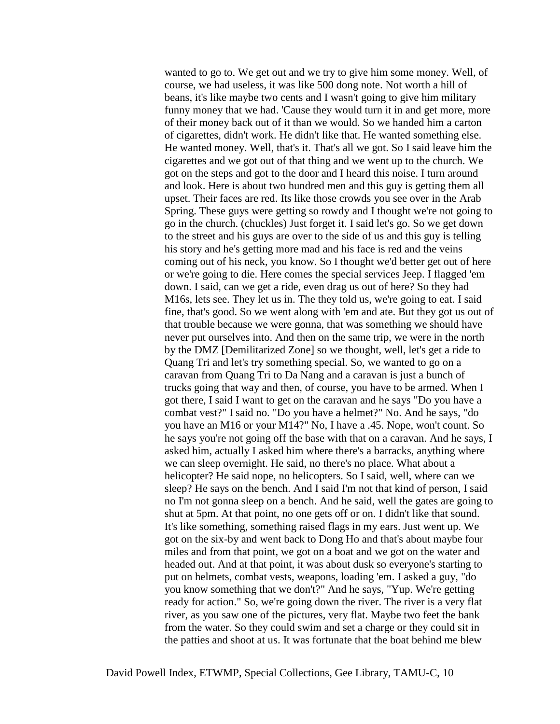wanted to go to. We get out and we try to give him some money. Well, of course, we had useless, it was like 500 dong note. Not worth a hill of beans, it's like maybe two cents and I wasn't going to give him military funny money that we had. 'Cause they would turn it in and get more, more of their money back out of it than we would. So we handed him a carton of cigarettes, didn't work. He didn't like that. He wanted something else. He wanted money. Well, that's it. That's all we got. So I said leave him the cigarettes and we got out of that thing and we went up to the church. We got on the steps and got to the door and I heard this noise. I turn around and look. Here is about two hundred men and this guy is getting them all upset. Their faces are red. Its like those crowds you see over in the Arab Spring. These guys were getting so rowdy and I thought we're not going to go in the church. (chuckles) Just forget it. I said let's go. So we get down to the street and his guys are over to the side of us and this guy is telling his story and he's getting more mad and his face is red and the veins coming out of his neck, you know. So I thought we'd better get out of here or we're going to die. Here comes the special services Jeep. I flagged 'em down. I said, can we get a ride, even drag us out of here? So they had M16s, lets see. They let us in. The they told us, we're going to eat. I said fine, that's good. So we went along with 'em and ate. But they got us out of that trouble because we were gonna, that was something we should have never put ourselves into. And then on the same trip, we were in the north by the DMZ [Demilitarized Zone] so we thought, well, let's get a ride to Quang Tri and let's try something special. So, we wanted to go on a caravan from Quang Tri to Da Nang and a caravan is just a bunch of trucks going that way and then, of course, you have to be armed. When I got there, I said I want to get on the caravan and he says "Do you have a combat vest?" I said no. "Do you have a helmet?" No. And he says, "do you have an M16 or your M14?" No, I have a .45. Nope, won't count. So he says you're not going off the base with that on a caravan. And he says, I asked him, actually I asked him where there's a barracks, anything where we can sleep overnight. He said, no there's no place. What about a helicopter? He said nope, no helicopters. So I said, well, where can we sleep? He says on the bench. And I said I'm not that kind of person, I said no I'm not gonna sleep on a bench. And he said, well the gates are going to shut at 5pm. At that point, no one gets off or on. I didn't like that sound. It's like something, something raised flags in my ears. Just went up. We got on the six-by and went back to Dong Ho and that's about maybe four miles and from that point, we got on a boat and we got on the water and headed out. And at that point, it was about dusk so everyone's starting to put on helmets, combat vests, weapons, loading 'em. I asked a guy, "do you know something that we don't?" And he says, "Yup. We're getting ready for action." So, we're going down the river. The river is a very flat river, as you saw one of the pictures, very flat. Maybe two feet the bank from the water. So they could swim and set a charge or they could sit in the patties and shoot at us. It was fortunate that the boat behind me blew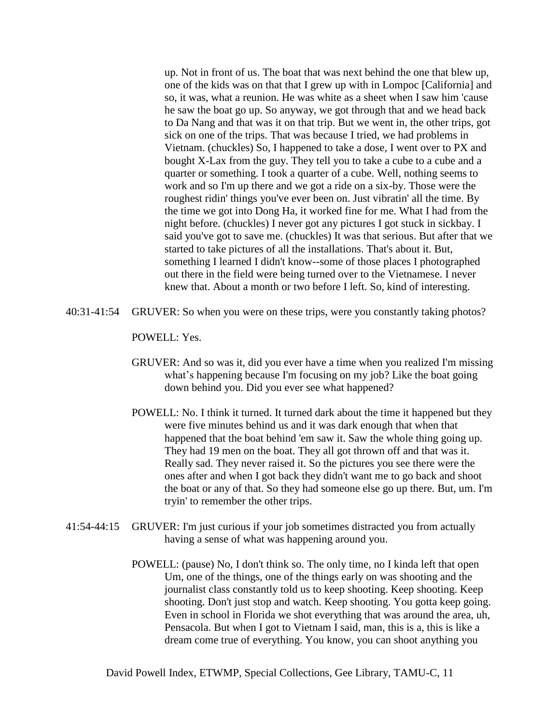up. Not in front of us. The boat that was next behind the one that blew up, one of the kids was on that that I grew up with in Lompoc [California] and so, it was, what a reunion. He was white as a sheet when I saw him 'cause he saw the boat go up. So anyway, we got through that and we head back to Da Nang and that was it on that trip. But we went in, the other trips, got sick on one of the trips. That was because I tried, we had problems in Vietnam. (chuckles) So, I happened to take a dose, I went over to PX and bought X-Lax from the guy. They tell you to take a cube to a cube and a quarter or something. I took a quarter of a cube. Well, nothing seems to work and so I'm up there and we got a ride on a six-by. Those were the roughest ridin' things you've ever been on. Just vibratin' all the time. By the time we got into Dong Ha, it worked fine for me. What I had from the night before. (chuckles) I never got any pictures I got stuck in sickbay. I said you've got to save me. (chuckles) It was that serious. But after that we started to take pictures of all the installations. That's about it. But, something I learned I didn't know--some of those places I photographed out there in the field were being turned over to the Vietnamese. I never knew that. About a month or two before I left. So, kind of interesting.

40:31-41:54 GRUVER: So when you were on these trips, were you constantly taking photos?

POWELL: Yes.

- GRUVER: And so was it, did you ever have a time when you realized I'm missing what's happening because I'm focusing on my job? Like the boat going down behind you. Did you ever see what happened?
- POWELL: No. I think it turned. It turned dark about the time it happened but they were five minutes behind us and it was dark enough that when that happened that the boat behind 'em saw it. Saw the whole thing going up. They had 19 men on the boat. They all got thrown off and that was it. Really sad. They never raised it. So the pictures you see there were the ones after and when I got back they didn't want me to go back and shoot the boat or any of that. So they had someone else go up there. But, um. I'm tryin' to remember the other trips.
- 41:54-44:15 GRUVER: I'm just curious if your job sometimes distracted you from actually having a sense of what was happening around you.
	- POWELL: (pause) No, I don't think so. The only time, no I kinda left that open Um, one of the things, one of the things early on was shooting and the journalist class constantly told us to keep shooting. Keep shooting. Keep shooting. Don't just stop and watch. Keep shooting. You gotta keep going. Even in school in Florida we shot everything that was around the area, uh, Pensacola. But when I got to Vietnam I said, man, this is a, this is like a dream come true of everything. You know, you can shoot anything you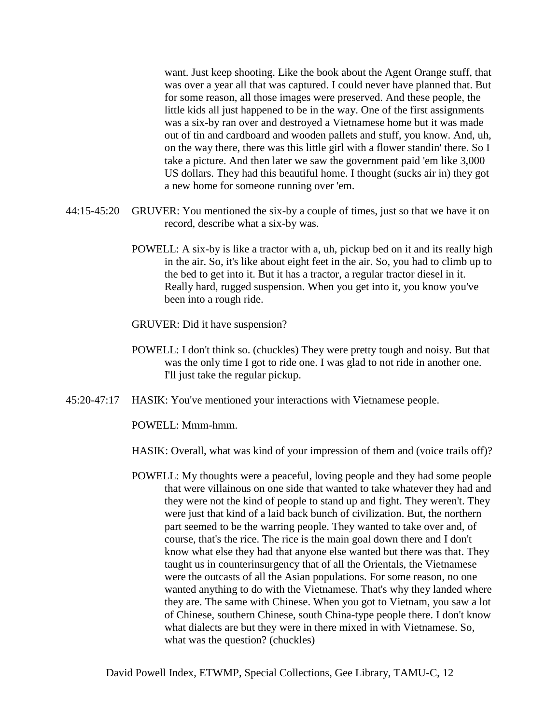want. Just keep shooting. Like the book about the Agent Orange stuff, that was over a year all that was captured. I could never have planned that. But for some reason, all those images were preserved. And these people, the little kids all just happened to be in the way. One of the first assignments was a six-by ran over and destroyed a Vietnamese home but it was made out of tin and cardboard and wooden pallets and stuff, you know. And, uh, on the way there, there was this little girl with a flower standin' there. So I take a picture. And then later we saw the government paid 'em like 3,000 US dollars. They had this beautiful home. I thought (sucks air in) they got a new home for someone running over 'em.

- 44:15-45:20 GRUVER: You mentioned the six-by a couple of times, just so that we have it on record, describe what a six-by was.
	- POWELL: A six-by is like a tractor with a, uh, pickup bed on it and its really high in the air. So, it's like about eight feet in the air. So, you had to climb up to the bed to get into it. But it has a tractor, a regular tractor diesel in it. Really hard, rugged suspension. When you get into it, you know you've been into a rough ride.
	- GRUVER: Did it have suspension?
	- POWELL: I don't think so. (chuckles) They were pretty tough and noisy. But that was the only time I got to ride one. I was glad to not ride in another one. I'll just take the regular pickup.
- 45:20-47:17 HASIK: You've mentioned your interactions with Vietnamese people.

POWELL: Mmm-hmm.

- HASIK: Overall, what was kind of your impression of them and (voice trails off)?
- POWELL: My thoughts were a peaceful, loving people and they had some people that were villainous on one side that wanted to take whatever they had and they were not the kind of people to stand up and fight. They weren't. They were just that kind of a laid back bunch of civilization. But, the northern part seemed to be the warring people. They wanted to take over and, of course, that's the rice. The rice is the main goal down there and I don't know what else they had that anyone else wanted but there was that. They taught us in counterinsurgency that of all the Orientals, the Vietnamese were the outcasts of all the Asian populations. For some reason, no one wanted anything to do with the Vietnamese. That's why they landed where they are. The same with Chinese. When you got to Vietnam, you saw a lot of Chinese, southern Chinese, south China-type people there. I don't know what dialects are but they were in there mixed in with Vietnamese. So, what was the question? (chuckles)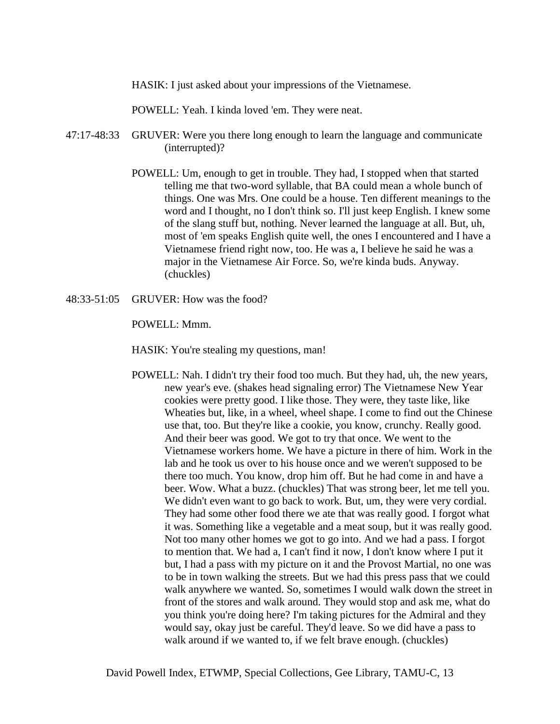HASIK: I just asked about your impressions of the Vietnamese.

POWELL: Yeah. I kinda loved 'em. They were neat.

- 47:17-48:33 GRUVER: Were you there long enough to learn the language and communicate (interrupted)?
	- POWELL: Um, enough to get in trouble. They had, I stopped when that started telling me that two-word syllable, that BA could mean a whole bunch of things. One was Mrs. One could be a house. Ten different meanings to the word and I thought, no I don't think so. I'll just keep English. I knew some of the slang stuff but, nothing. Never learned the language at all. But, uh, most of 'em speaks English quite well, the ones I encountered and I have a Vietnamese friend right now, too. He was a, I believe he said he was a major in the Vietnamese Air Force. So, we're kinda buds. Anyway. (chuckles)
- 48:33-51:05 GRUVER: How was the food?

POWELL: Mmm.

HASIK: You're stealing my questions, man!

POWELL: Nah. I didn't try their food too much. But they had, uh, the new years, new year's eve. (shakes head signaling error) The Vietnamese New Year cookies were pretty good. I like those. They were, they taste like, like Wheaties but, like, in a wheel, wheel shape. I come to find out the Chinese use that, too. But they're like a cookie, you know, crunchy. Really good. And their beer was good. We got to try that once. We went to the Vietnamese workers home. We have a picture in there of him. Work in the lab and he took us over to his house once and we weren't supposed to be there too much. You know, drop him off. But he had come in and have a beer. Wow. What a buzz. (chuckles) That was strong beer, let me tell you. We didn't even want to go back to work. But, um, they were very cordial. They had some other food there we ate that was really good. I forgot what it was. Something like a vegetable and a meat soup, but it was really good. Not too many other homes we got to go into. And we had a pass. I forgot to mention that. We had a, I can't find it now, I don't know where I put it but, I had a pass with my picture on it and the Provost Martial, no one was to be in town walking the streets. But we had this press pass that we could walk anywhere we wanted. So, sometimes I would walk down the street in front of the stores and walk around. They would stop and ask me, what do you think you're doing here? I'm taking pictures for the Admiral and they would say, okay just be careful. They'd leave. So we did have a pass to walk around if we wanted to, if we felt brave enough. (chuckles)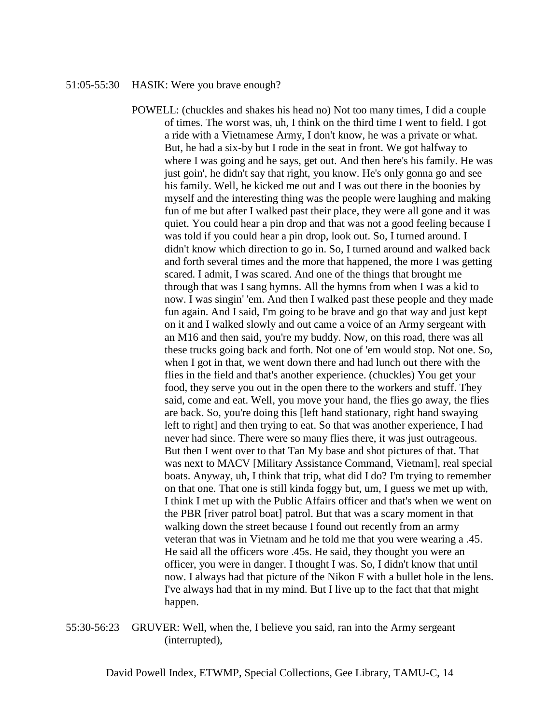#### 51:05-55:30 HASIK: Were you brave enough?

POWELL: (chuckles and shakes his head no) Not too many times, I did a couple of times. The worst was, uh, I think on the third time I went to field. I got a ride with a Vietnamese Army, I don't know, he was a private or what. But, he had a six-by but I rode in the seat in front. We got halfway to where I was going and he says, get out. And then here's his family. He was just goin', he didn't say that right, you know. He's only gonna go and see his family. Well, he kicked me out and I was out there in the boonies by myself and the interesting thing was the people were laughing and making fun of me but after I walked past their place, they were all gone and it was quiet. You could hear a pin drop and that was not a good feeling because I was told if you could hear a pin drop, look out. So, I turned around. I didn't know which direction to go in. So, I turned around and walked back and forth several times and the more that happened, the more I was getting scared. I admit, I was scared. And one of the things that brought me through that was I sang hymns. All the hymns from when I was a kid to now. I was singin' 'em. And then I walked past these people and they made fun again. And I said, I'm going to be brave and go that way and just kept on it and I walked slowly and out came a voice of an Army sergeant with an M16 and then said, you're my buddy. Now, on this road, there was all these trucks going back and forth. Not one of 'em would stop. Not one. So, when I got in that, we went down there and had lunch out there with the flies in the field and that's another experience. (chuckles) You get your food, they serve you out in the open there to the workers and stuff. They said, come and eat. Well, you move your hand, the flies go away, the flies are back. So, you're doing this [left hand stationary, right hand swaying left to right] and then trying to eat. So that was another experience, I had never had since. There were so many flies there, it was just outrageous. But then I went over to that Tan My base and shot pictures of that. That was next to MACV [Military Assistance Command, Vietnam], real special boats. Anyway, uh, I think that trip, what did I do? I'm trying to remember on that one. That one is still kinda foggy but, um, I guess we met up with, I think I met up with the Public Affairs officer and that's when we went on the PBR [river patrol boat] patrol. But that was a scary moment in that walking down the street because I found out recently from an army veteran that was in Vietnam and he told me that you were wearing a .45. He said all the officers wore .45s. He said, they thought you were an officer, you were in danger. I thought I was. So, I didn't know that until now. I always had that picture of the Nikon F with a bullet hole in the lens. I've always had that in my mind. But I live up to the fact that that might happen.

55:30-56:23 GRUVER: Well, when the, I believe you said, ran into the Army sergeant (interrupted),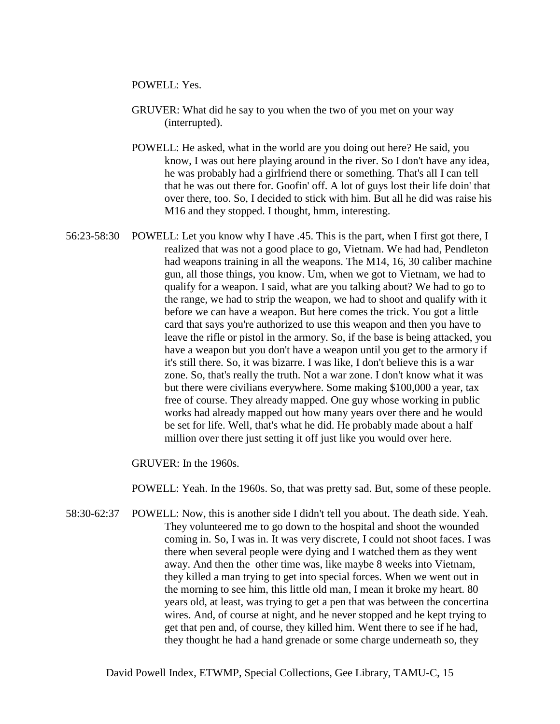POWELL: Yes.

- GRUVER: What did he say to you when the two of you met on your way (interrupted).
- POWELL: He asked, what in the world are you doing out here? He said, you know, I was out here playing around in the river. So I don't have any idea, he was probably had a girlfriend there or something. That's all I can tell that he was out there for. Goofin' off. A lot of guys lost their life doin' that over there, too. So, I decided to stick with him. But all he did was raise his M16 and they stopped. I thought, hmm, interesting.
- 56:23-58:30 POWELL: Let you know why I have .45. This is the part, when I first got there, I realized that was not a good place to go, Vietnam. We had had, Pendleton had weapons training in all the weapons. The M14, 16, 30 caliber machine gun, all those things, you know. Um, when we got to Vietnam, we had to qualify for a weapon. I said, what are you talking about? We had to go to the range, we had to strip the weapon, we had to shoot and qualify with it before we can have a weapon. But here comes the trick. You got a little card that says you're authorized to use this weapon and then you have to leave the rifle or pistol in the armory. So, if the base is being attacked, you have a weapon but you don't have a weapon until you get to the armory if it's still there. So, it was bizarre. I was like, I don't believe this is a war zone. So, that's really the truth. Not a war zone. I don't know what it was but there were civilians everywhere. Some making \$100,000 a year, tax free of course. They already mapped. One guy whose working in public works had already mapped out how many years over there and he would be set for life. Well, that's what he did. He probably made about a half million over there just setting it off just like you would over here.

GRUVER: In the 1960s.

POWELL: Yeah. In the 1960s. So, that was pretty sad. But, some of these people.

58:30-62:37 POWELL: Now, this is another side I didn't tell you about. The death side. Yeah. They volunteered me to go down to the hospital and shoot the wounded coming in. So, I was in. It was very discrete, I could not shoot faces. I was there when several people were dying and I watched them as they went away. And then the other time was, like maybe 8 weeks into Vietnam, they killed a man trying to get into special forces. When we went out in the morning to see him, this little old man, I mean it broke my heart. 80 years old, at least, was trying to get a pen that was between the concertina wires. And, of course at night, and he never stopped and he kept trying to get that pen and, of course, they killed him. Went there to see if he had, they thought he had a hand grenade or some charge underneath so, they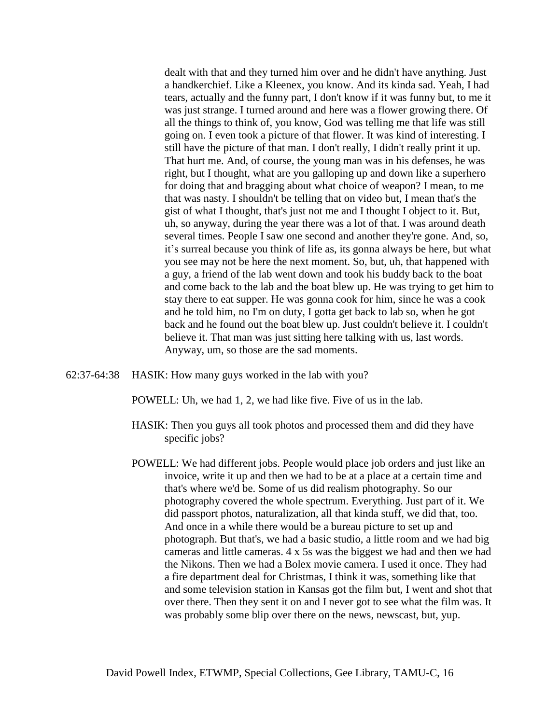dealt with that and they turned him over and he didn't have anything. Just a handkerchief. Like a Kleenex, you know. And its kinda sad. Yeah, I had tears, actually and the funny part, I don't know if it was funny but, to me it was just strange. I turned around and here was a flower growing there. Of all the things to think of, you know, God was telling me that life was still going on. I even took a picture of that flower. It was kind of interesting. I still have the picture of that man. I don't really, I didn't really print it up. That hurt me. And, of course, the young man was in his defenses, he was right, but I thought, what are you galloping up and down like a superhero for doing that and bragging about what choice of weapon? I mean, to me that was nasty. I shouldn't be telling that on video but, I mean that's the gist of what I thought, that's just not me and I thought I object to it. But, uh, so anyway, during the year there was a lot of that. I was around death several times. People I saw one second and another they're gone. And, so, it's surreal because you think of life as, its gonna always be here, but what you see may not be here the next moment. So, but, uh, that happened with a guy, a friend of the lab went down and took his buddy back to the boat and come back to the lab and the boat blew up. He was trying to get him to stay there to eat supper. He was gonna cook for him, since he was a cook and he told him, no I'm on duty, I gotta get back to lab so, when he got back and he found out the boat blew up. Just couldn't believe it. I couldn't believe it. That man was just sitting here talking with us, last words. Anyway, um, so those are the sad moments.

- 62:37-64:38 HASIK: How many guys worked in the lab with you?
	- POWELL: Uh, we had 1, 2, we had like five. Five of us in the lab.
	- HASIK: Then you guys all took photos and processed them and did they have specific jobs?
	- POWELL: We had different jobs. People would place job orders and just like an invoice, write it up and then we had to be at a place at a certain time and that's where we'd be. Some of us did realism photography. So our photography covered the whole spectrum. Everything. Just part of it. We did passport photos, naturalization, all that kinda stuff, we did that, too. And once in a while there would be a bureau picture to set up and photograph. But that's, we had a basic studio, a little room and we had big cameras and little cameras. 4 x 5s was the biggest we had and then we had the Nikons. Then we had a Bolex movie camera. I used it once. They had a fire department deal for Christmas, I think it was, something like that and some television station in Kansas got the film but, I went and shot that over there. Then they sent it on and I never got to see what the film was. It was probably some blip over there on the news, newscast, but, yup.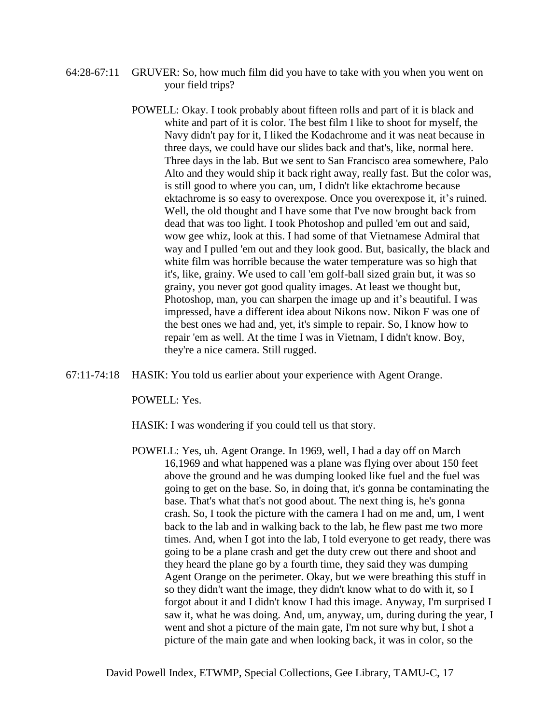- 64:28-67:11 GRUVER: So, how much film did you have to take with you when you went on your field trips?
	- POWELL: Okay. I took probably about fifteen rolls and part of it is black and white and part of it is color. The best film I like to shoot for myself, the Navy didn't pay for it, I liked the Kodachrome and it was neat because in three days, we could have our slides back and that's, like, normal here. Three days in the lab. But we sent to San Francisco area somewhere, Palo Alto and they would ship it back right away, really fast. But the color was, is still good to where you can, um, I didn't like ektachrome because ektachrome is so easy to overexpose. Once you overexpose it, it's ruined. Well, the old thought and I have some that I've now brought back from dead that was too light. I took Photoshop and pulled 'em out and said, wow gee whiz, look at this. I had some of that Vietnamese Admiral that way and I pulled 'em out and they look good. But, basically, the black and white film was horrible because the water temperature was so high that it's, like, grainy. We used to call 'em golf-ball sized grain but, it was so grainy, you never got good quality images. At least we thought but, Photoshop, man, you can sharpen the image up and it's beautiful. I was impressed, have a different idea about Nikons now. Nikon F was one of the best ones we had and, yet, it's simple to repair. So, I know how to repair 'em as well. At the time I was in Vietnam, I didn't know. Boy, they're a nice camera. Still rugged.
- 67:11-74:18 HASIK: You told us earlier about your experience with Agent Orange.

POWELL: Yes.

HASIK: I was wondering if you could tell us that story.

POWELL: Yes, uh. Agent Orange. In 1969, well, I had a day off on March 16,1969 and what happened was a plane was flying over about 150 feet above the ground and he was dumping looked like fuel and the fuel was going to get on the base. So, in doing that, it's gonna be contaminating the base. That's what that's not good about. The next thing is, he's gonna crash. So, I took the picture with the camera I had on me and, um, I went back to the lab and in walking back to the lab, he flew past me two more times. And, when I got into the lab, I told everyone to get ready, there was going to be a plane crash and get the duty crew out there and shoot and they heard the plane go by a fourth time, they said they was dumping Agent Orange on the perimeter. Okay, but we were breathing this stuff in so they didn't want the image, they didn't know what to do with it, so I forgot about it and I didn't know I had this image. Anyway, I'm surprised I saw it, what he was doing. And, um, anyway, um, during during the year, I went and shot a picture of the main gate, I'm not sure why but, I shot a picture of the main gate and when looking back, it was in color, so the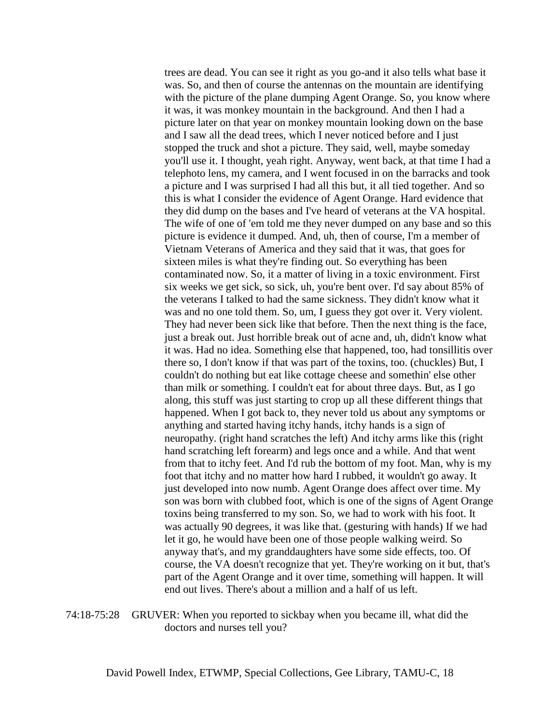trees are dead. You can see it right as you go-and it also tells what base it was. So, and then of course the antennas on the mountain are identifying with the picture of the plane dumping Agent Orange. So, you know where it was, it was monkey mountain in the background. And then I had a picture later on that year on monkey mountain looking down on the base and I saw all the dead trees, which I never noticed before and I just stopped the truck and shot a picture. They said, well, maybe someday you'll use it. I thought, yeah right. Anyway, went back, at that time I had a telephoto lens, my camera, and I went focused in on the barracks and took a picture and I was surprised I had all this but, it all tied together. And so this is what I consider the evidence of Agent Orange. Hard evidence that they did dump on the bases and I've heard of veterans at the VA hospital. The wife of one of 'em told me they never dumped on any base and so this picture is evidence it dumped. And, uh, then of course, I'm a member of Vietnam Veterans of America and they said that it was, that goes for sixteen miles is what they're finding out. So everything has been contaminated now. So, it a matter of living in a toxic environment. First six weeks we get sick, so sick, uh, you're bent over. I'd say about 85% of the veterans I talked to had the same sickness. They didn't know what it was and no one told them. So, um, I guess they got over it. Very violent. They had never been sick like that before. Then the next thing is the face, just a break out. Just horrible break out of acne and, uh, didn't know what it was. Had no idea. Something else that happened, too, had tonsillitis over there so, I don't know if that was part of the toxins, too. (chuckles) But, I couldn't do nothing but eat like cottage cheese and somethin' else other than milk or something. I couldn't eat for about three days. But, as I go along, this stuff was just starting to crop up all these different things that happened. When I got back to, they never told us about any symptoms or anything and started having itchy hands, itchy hands is a sign of neuropathy. (right hand scratches the left) And itchy arms like this (right hand scratching left forearm) and legs once and a while. And that went from that to itchy feet. And I'd rub the bottom of my foot. Man, why is my foot that itchy and no matter how hard I rubbed, it wouldn't go away. It just developed into now numb. Agent Orange does affect over time. My son was born with clubbed foot, which is one of the signs of Agent Orange toxins being transferred to my son. So, we had to work with his foot. It was actually 90 degrees, it was like that. (gesturing with hands) If we had let it go, he would have been one of those people walking weird. So anyway that's, and my granddaughters have some side effects, too. Of course, the VA doesn't recognize that yet. They're working on it but, that's part of the Agent Orange and it over time, something will happen. It will end out lives. There's about a million and a half of us left.

74:18-75:28 GRUVER: When you reported to sickbay when you became ill, what did the doctors and nurses tell you?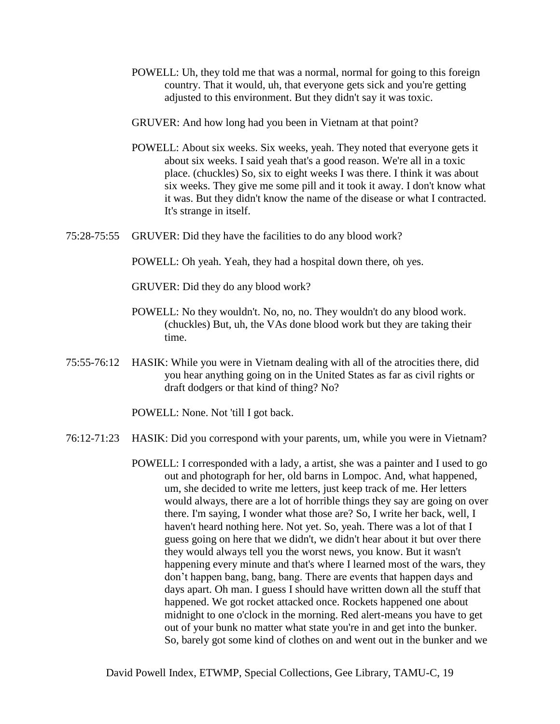- POWELL: Uh, they told me that was a normal, normal for going to this foreign country. That it would, uh, that everyone gets sick and you're getting adjusted to this environment. But they didn't say it was toxic.
- GRUVER: And how long had you been in Vietnam at that point?
- POWELL: About six weeks. Six weeks, yeah. They noted that everyone gets it about six weeks. I said yeah that's a good reason. We're all in a toxic place. (chuckles) So, six to eight weeks I was there. I think it was about six weeks. They give me some pill and it took it away. I don't know what it was. But they didn't know the name of the disease or what I contracted. It's strange in itself.
- 75:28-75:55 GRUVER: Did they have the facilities to do any blood work?

POWELL: Oh yeah. Yeah, they had a hospital down there, oh yes.

GRUVER: Did they do any blood work?

- POWELL: No they wouldn't. No, no, no. They wouldn't do any blood work. (chuckles) But, uh, the VAs done blood work but they are taking their time.
- 75:55-76:12 HASIK: While you were in Vietnam dealing with all of the atrocities there, did you hear anything going on in the United States as far as civil rights or draft dodgers or that kind of thing? No?

POWELL: None. Not 'till I got back.

- 76:12-71:23 HASIK: Did you correspond with your parents, um, while you were in Vietnam?
	- POWELL: I corresponded with a lady, a artist, she was a painter and I used to go out and photograph for her, old barns in Lompoc. And, what happened, um, she decided to write me letters, just keep track of me. Her letters would always, there are a lot of horrible things they say are going on over there. I'm saying, I wonder what those are? So, I write her back, well, I haven't heard nothing here. Not yet. So, yeah. There was a lot of that I guess going on here that we didn't, we didn't hear about it but over there they would always tell you the worst news, you know. But it wasn't happening every minute and that's where I learned most of the wars, they don't happen bang, bang, bang. There are events that happen days and days apart. Oh man. I guess I should have written down all the stuff that happened. We got rocket attacked once. Rockets happened one about midnight to one o'clock in the morning. Red alert-means you have to get out of your bunk no matter what state you're in and get into the bunker. So, barely got some kind of clothes on and went out in the bunker and we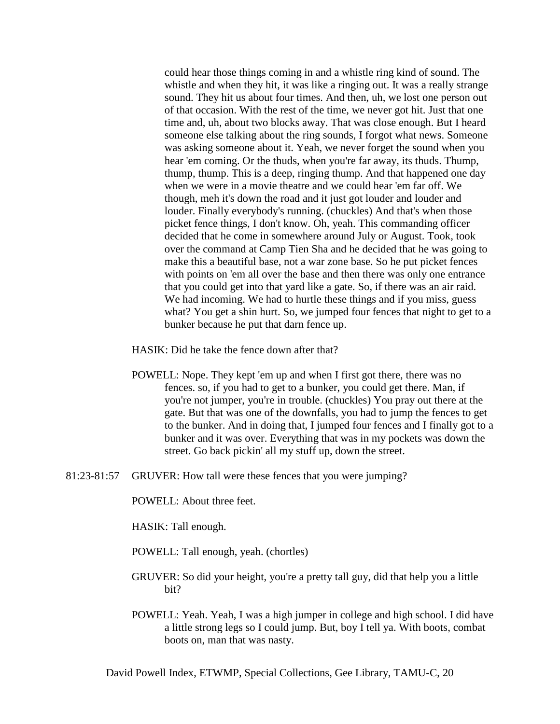could hear those things coming in and a whistle ring kind of sound. The whistle and when they hit, it was like a ringing out. It was a really strange sound. They hit us about four times. And then, uh, we lost one person out of that occasion. With the rest of the time, we never got hit. Just that one time and, uh, about two blocks away. That was close enough. But I heard someone else talking about the ring sounds, I forgot what news. Someone was asking someone about it. Yeah, we never forget the sound when you hear 'em coming. Or the thuds, when you're far away, its thuds. Thump, thump, thump. This is a deep, ringing thump. And that happened one day when we were in a movie theatre and we could hear 'em far off. We though, meh it's down the road and it just got louder and louder and louder. Finally everybody's running. (chuckles) And that's when those picket fence things, I don't know. Oh, yeah. This commanding officer decided that he come in somewhere around July or August. Took, took over the command at Camp Tien Sha and he decided that he was going to make this a beautiful base, not a war zone base. So he put picket fences with points on 'em all over the base and then there was only one entrance that you could get into that yard like a gate. So, if there was an air raid. We had incoming. We had to hurtle these things and if you miss, guess what? You get a shin hurt. So, we jumped four fences that night to get to a bunker because he put that darn fence up.

HASIK: Did he take the fence down after that?

- POWELL: Nope. They kept 'em up and when I first got there, there was no fences. so, if you had to get to a bunker, you could get there. Man, if you're not jumper, you're in trouble. (chuckles) You pray out there at the gate. But that was one of the downfalls, you had to jump the fences to get to the bunker. And in doing that, I jumped four fences and I finally got to a bunker and it was over. Everything that was in my pockets was down the street. Go back pickin' all my stuff up, down the street.
- 81:23-81:57 GRUVER: How tall were these fences that you were jumping?

POWELL: About three feet.

HASIK: Tall enough.

POWELL: Tall enough, yeah. (chortles)

- GRUVER: So did your height, you're a pretty tall guy, did that help you a little bit?
- POWELL: Yeah. Yeah, I was a high jumper in college and high school. I did have a little strong legs so I could jump. But, boy I tell ya. With boots, combat boots on, man that was nasty.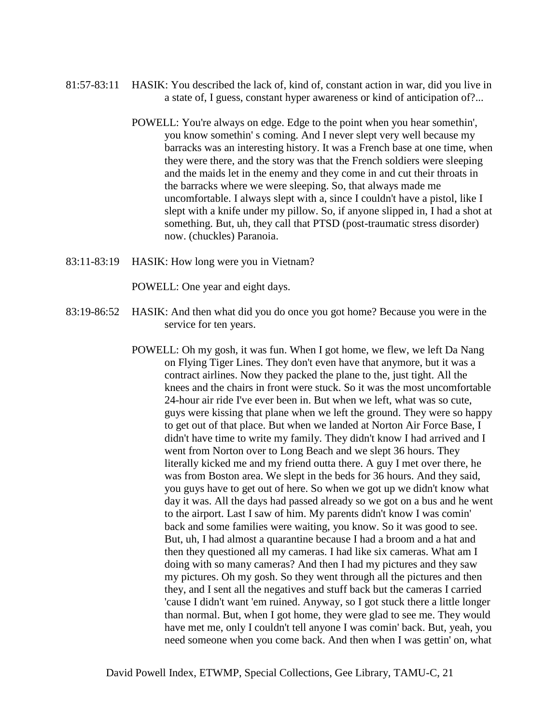- 81:57-83:11 HASIK: You described the lack of, kind of, constant action in war, did you live in a state of, I guess, constant hyper awareness or kind of anticipation of?...
	- POWELL: You're always on edge. Edge to the point when you hear somethin', you know somethin' s coming. And I never slept very well because my barracks was an interesting history. It was a French base at one time, when they were there, and the story was that the French soldiers were sleeping and the maids let in the enemy and they come in and cut their throats in the barracks where we were sleeping. So, that always made me uncomfortable. I always slept with a, since I couldn't have a pistol, like I slept with a knife under my pillow. So, if anyone slipped in, I had a shot at something. But, uh, they call that PTSD (post-traumatic stress disorder) now. (chuckles) Paranoia.
- 83:11-83:19 HASIK: How long were you in Vietnam?

POWELL: One year and eight days.

- 83:19-86:52 HASIK: And then what did you do once you got home? Because you were in the service for ten years.
	- POWELL: Oh my gosh, it was fun. When I got home, we flew, we left Da Nang on Flying Tiger Lines. They don't even have that anymore, but it was a contract airlines. Now they packed the plane to the, just tight. All the knees and the chairs in front were stuck. So it was the most uncomfortable 24-hour air ride I've ever been in. But when we left, what was so cute, guys were kissing that plane when we left the ground. They were so happy to get out of that place. But when we landed at Norton Air Force Base, I didn't have time to write my family. They didn't know I had arrived and I went from Norton over to Long Beach and we slept 36 hours. They literally kicked me and my friend outta there. A guy I met over there, he was from Boston area. We slept in the beds for 36 hours. And they said, you guys have to get out of here. So when we got up we didn't know what day it was. All the days had passed already so we got on a bus and he went to the airport. Last I saw of him. My parents didn't know I was comin' back and some families were waiting, you know. So it was good to see. But, uh, I had almost a quarantine because I had a broom and a hat and then they questioned all my cameras. I had like six cameras. What am I doing with so many cameras? And then I had my pictures and they saw my pictures. Oh my gosh. So they went through all the pictures and then they, and I sent all the negatives and stuff back but the cameras I carried 'cause I didn't want 'em ruined. Anyway, so I got stuck there a little longer than normal. But, when I got home, they were glad to see me. They would have met me, only I couldn't tell anyone I was comin' back. But, yeah, you need someone when you come back. And then when I was gettin' on, what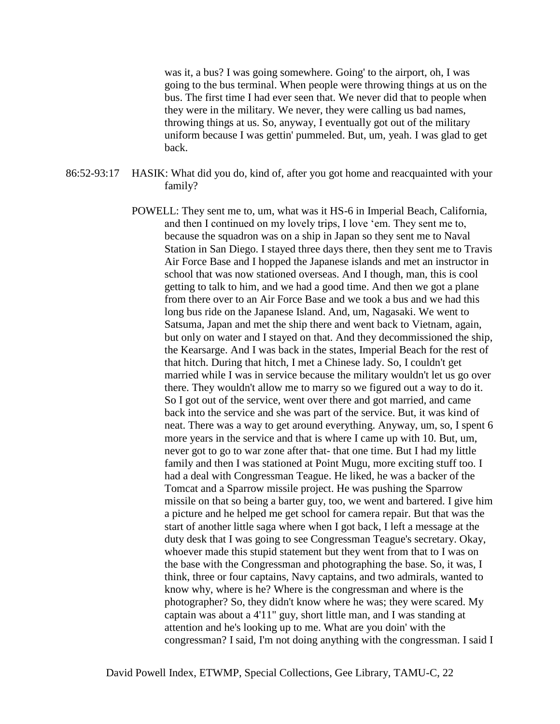was it, a bus? I was going somewhere. Going' to the airport, oh, I was going to the bus terminal. When people were throwing things at us on the bus. The first time I had ever seen that. We never did that to people when they were in the military. We never, they were calling us bad names, throwing things at us. So, anyway, I eventually got out of the military uniform because I was gettin' pummeled. But, um, yeah. I was glad to get back.

86:52-93:17 HASIK: What did you do, kind of, after you got home and reacquainted with your family?

> POWELL: They sent me to, um, what was it HS-6 in Imperial Beach, California, and then I continued on my lovely trips, I love 'em. They sent me to, because the squadron was on a ship in Japan so they sent me to Naval Station in San Diego. I stayed three days there, then they sent me to Travis Air Force Base and I hopped the Japanese islands and met an instructor in school that was now stationed overseas. And I though, man, this is cool getting to talk to him, and we had a good time. And then we got a plane from there over to an Air Force Base and we took a bus and we had this long bus ride on the Japanese Island. And, um, Nagasaki. We went to Satsuma, Japan and met the ship there and went back to Vietnam, again, but only on water and I stayed on that. And they decommissioned the ship, the Kearsarge. And I was back in the states, Imperial Beach for the rest of that hitch. During that hitch, I met a Chinese lady. So, I couldn't get married while I was in service because the military wouldn't let us go over there. They wouldn't allow me to marry so we figured out a way to do it. So I got out of the service, went over there and got married, and came back into the service and she was part of the service. But, it was kind of neat. There was a way to get around everything. Anyway, um, so, I spent 6 more years in the service and that is where I came up with 10. But, um, never got to go to war zone after that- that one time. But I had my little family and then I was stationed at Point Mugu, more exciting stuff too. I had a deal with Congressman Teague. He liked, he was a backer of the Tomcat and a Sparrow missile project. He was pushing the Sparrow missile on that so being a barter guy, too, we went and bartered. I give him a picture and he helped me get school for camera repair. But that was the start of another little saga where when I got back, I left a message at the duty desk that I was going to see Congressman Teague's secretary. Okay, whoever made this stupid statement but they went from that to I was on the base with the Congressman and photographing the base. So, it was, I think, three or four captains, Navy captains, and two admirals, wanted to know why, where is he? Where is the congressman and where is the photographer? So, they didn't know where he was; they were scared. My captain was about a 4'11" guy, short little man, and I was standing at attention and he's looking up to me. What are you doin' with the congressman? I said, I'm not doing anything with the congressman. I said I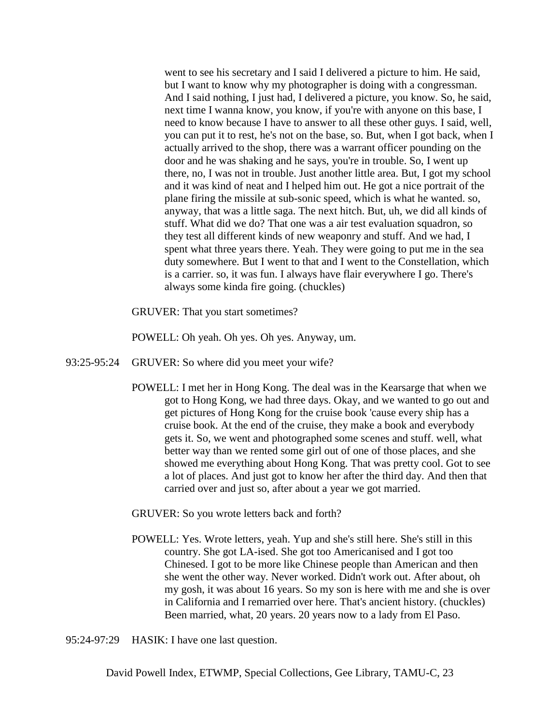went to see his secretary and I said I delivered a picture to him. He said, but I want to know why my photographer is doing with a congressman. And I said nothing, I just had, I delivered a picture, you know. So, he said, next time I wanna know, you know, if you're with anyone on this base, I need to know because I have to answer to all these other guys. I said, well, you can put it to rest, he's not on the base, so. But, when I got back, when I actually arrived to the shop, there was a warrant officer pounding on the door and he was shaking and he says, you're in trouble. So, I went up there, no, I was not in trouble. Just another little area. But, I got my school and it was kind of neat and I helped him out. He got a nice portrait of the plane firing the missile at sub-sonic speed, which is what he wanted. so, anyway, that was a little saga. The next hitch. But, uh, we did all kinds of stuff. What did we do? That one was a air test evaluation squadron, so they test all different kinds of new weaponry and stuff. And we had, I spent what three years there. Yeah. They were going to put me in the sea duty somewhere. But I went to that and I went to the Constellation, which is a carrier. so, it was fun. I always have flair everywhere I go. There's always some kinda fire going. (chuckles)

GRUVER: That you start sometimes?

POWELL: Oh yeah. Oh yes. Oh yes. Anyway, um.

- 93:25-95:24 GRUVER: So where did you meet your wife?
	- POWELL: I met her in Hong Kong. The deal was in the Kearsarge that when we got to Hong Kong, we had three days. Okay, and we wanted to go out and get pictures of Hong Kong for the cruise book 'cause every ship has a cruise book. At the end of the cruise, they make a book and everybody gets it. So, we went and photographed some scenes and stuff. well, what better way than we rented some girl out of one of those places, and she showed me everything about Hong Kong. That was pretty cool. Got to see a lot of places. And just got to know her after the third day. And then that carried over and just so, after about a year we got married.

GRUVER: So you wrote letters back and forth?

POWELL: Yes. Wrote letters, yeah. Yup and she's still here. She's still in this country. She got LA-ised. She got too Americanised and I got too Chinesed. I got to be more like Chinese people than American and then she went the other way. Never worked. Didn't work out. After about, oh my gosh, it was about 16 years. So my son is here with me and she is over in California and I remarried over here. That's ancient history. (chuckles) Been married, what, 20 years. 20 years now to a lady from El Paso.

95:24-97:29 HASIK: I have one last question.